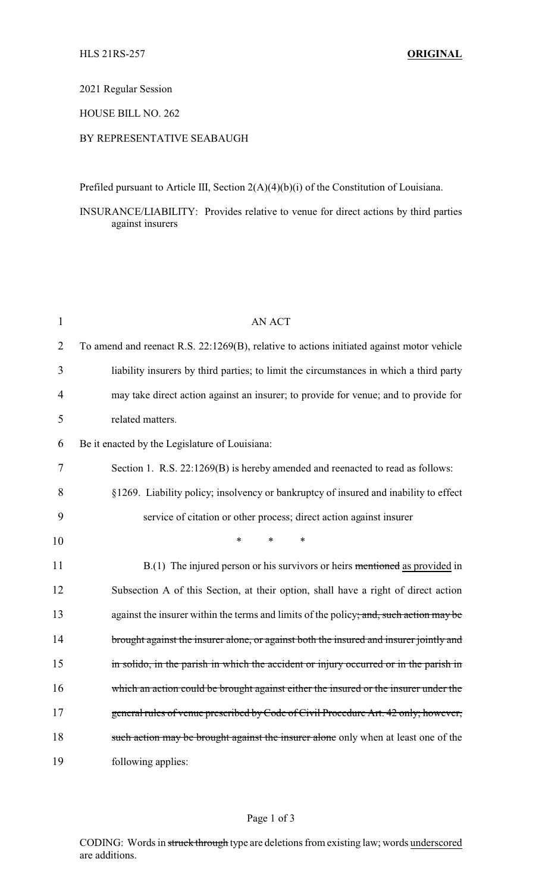## 2021 Regular Session

## HOUSE BILL NO. 262

## BY REPRESENTATIVE SEABAUGH

Prefiled pursuant to Article III, Section 2(A)(4)(b)(i) of the Constitution of Louisiana.

INSURANCE/LIABILITY: Provides relative to venue for direct actions by third parties against insurers

| $\mathbf{1}$   | <b>AN ACT</b>                                                                             |
|----------------|-------------------------------------------------------------------------------------------|
| $\overline{2}$ | To amend and reenact R.S. 22:1269(B), relative to actions initiated against motor vehicle |
| 3              | liability insurers by third parties; to limit the circumstances in which a third party    |
| $\overline{4}$ | may take direct action against an insurer; to provide for venue; and to provide for       |
| 5              | related matters.                                                                          |
| 6              | Be it enacted by the Legislature of Louisiana:                                            |
| 7              | Section 1. R.S. 22:1269(B) is hereby amended and reenacted to read as follows:            |
| 8              | §1269. Liability policy; insolvency or bankruptcy of insured and inability to effect      |
| 9              | service of citation or other process; direct action against insurer                       |
| 10             | $\ast$<br>*<br>*                                                                          |
| 11             | $B(1)$ The injured person or his survivors or heirs mentioned as provided in              |
| 12             | Subsection A of this Section, at their option, shall have a right of direct action        |
| 13             | against the insurer within the terms and limits of the policy; and, such action may be    |
| 14             | brought against the insurer alone, or against both the insured and insurer jointly and    |
| 15             | in solido, in the parish in which the accident or injury occurred or in the parish in     |
| 16             | which an action could be brought against either the insured or the insurer under the      |
| 17             | general rules of venue prescribed by Code of Civil Procedure Art. 42 only; however,       |
| 18             | such action may be brought against the insurer alone only when at least one of the        |
| 19             | following applies:                                                                        |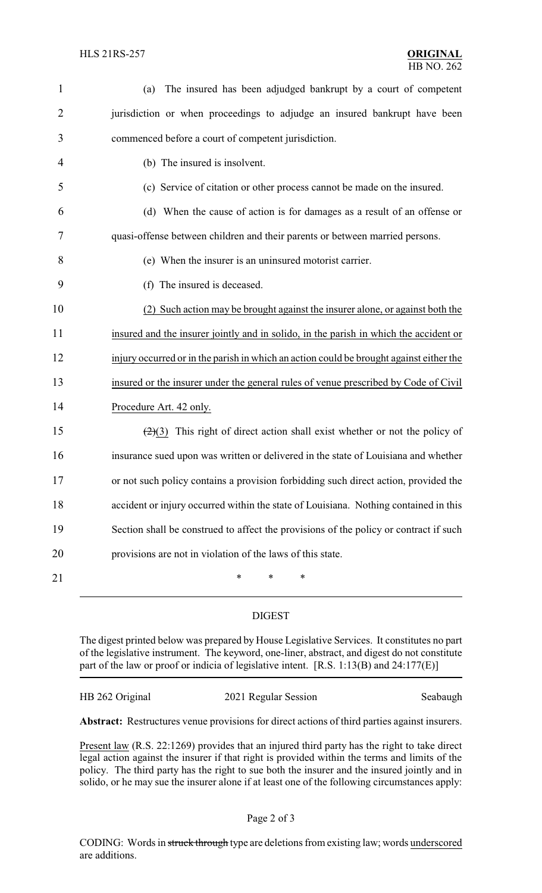| $\mathbf{1}$   | The insured has been adjudged bankrupt by a court of competent<br>(a)                           |
|----------------|-------------------------------------------------------------------------------------------------|
| 2              | jurisdiction or when proceedings to adjudge an insured bankrupt have been                       |
| 3              | commenced before a court of competent jurisdiction.                                             |
| $\overline{4}$ | (b) The insured is insolvent.                                                                   |
| 5              | (c) Service of citation or other process cannot be made on the insured.                         |
| 6              | (d) When the cause of action is for damages as a result of an offense or                        |
| 7              | quasi-offense between children and their parents or between married persons.                    |
| 8              | (e) When the insurer is an uninsured motorist carrier.                                          |
| 9              | (f) The insured is deceased.                                                                    |
| 10             | (2) Such action may be brought against the insurer alone, or against both the                   |
| 11             | insured and the insurer jointly and in solido, in the parish in which the accident or           |
| 12             | injury occurred or in the parish in which an action could be brought against either the         |
| 13             | insured or the insurer under the general rules of venue prescribed by Code of Civil             |
| 14             | Procedure Art. 42 only.                                                                         |
| 15             | $\left(\frac{2}{2}\right)$ This right of direct action shall exist whether or not the policy of |
| 16             | insurance sued upon was written or delivered in the state of Louisiana and whether              |
| 17             | or not such policy contains a provision forbidding such direct action, provided the             |
| 18             | accident or injury occurred within the state of Louisiana. Nothing contained in this            |
| 19             | Section shall be construed to affect the provisions of the policy or contract if such           |
| 20             | provisions are not in violation of the laws of this state.                                      |
| 21             | ∗<br>∗<br>∗                                                                                     |

## DIGEST

The digest printed below was prepared by House Legislative Services. It constitutes no part of the legislative instrument. The keyword, one-liner, abstract, and digest do not constitute part of the law or proof or indicia of legislative intent. [R.S. 1:13(B) and 24:177(E)]

| HB 262 Original | 2021 Regular Session | Seabaugh |
|-----------------|----------------------|----------|
|                 |                      |          |

**Abstract:** Restructures venue provisions for direct actions of third parties against insurers.

Present law (R.S. 22:1269) provides that an injured third party has the right to take direct legal action against the insurer if that right is provided within the terms and limits of the policy. The third party has the right to sue both the insurer and the insured jointly and in solido, or he may sue the insurer alone if at least one of the following circumstances apply: